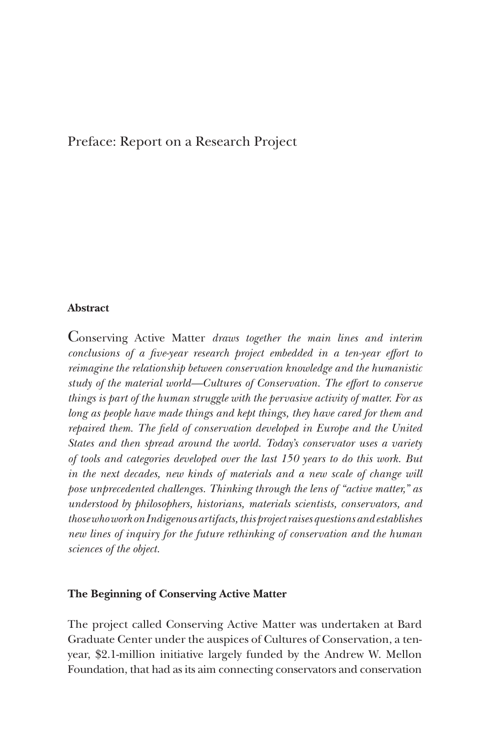# Preface: Report on a Research Project

## **Abstract**

Conserving Active Matter *draws together the main lines and interim conclusions of a five-year research project embedded in a ten-year effort to reimagine the relationship between conservation knowledge and the humanistic study of the material world—Cultures of Conservation. The effort to conserve things is part of the human struggle with the pervasive activity of matter. For as long as people have made things and kept things, they have cared for them and repaired them. The field of conservation developed in Europe and the United States and then spread around the world. Today's conservator uses a variety of tools and categories developed over the last 150 years to do this work. But in the next decades, new kinds of materials and a new scale of change will pose unprecedented challenges. Thinking through the lens of "active matter," as understood by philosophers, historians, materials scientists, conservators, and those who work on Indigenous artifacts, this project raises questions and establishes new lines of inquiry for the future rethinking of conservation and the human sciences of the object.*

## **The Beginning of Conserving Active Matter**

The project called Conserving Active Matter was undertaken at Bard Graduate Center under the auspices of Cultures of Conservation, a tenyear, \$2.1-million initiative largely funded by the Andrew W. Mellon Foundation, that had as its aim connecting conservators and conservation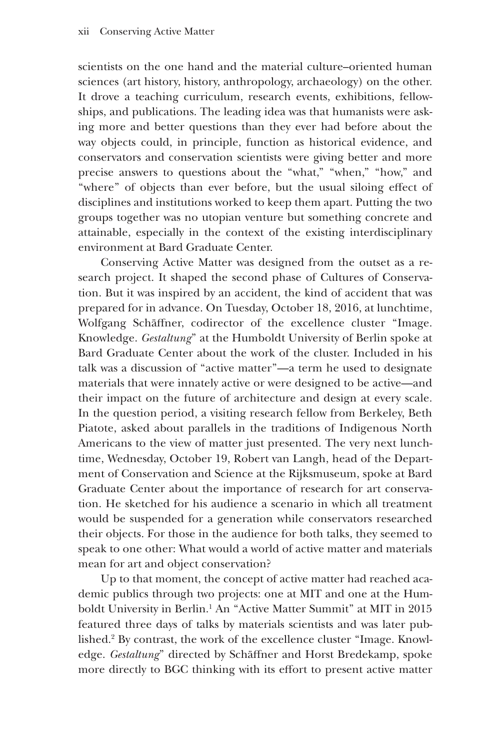scientists on the one hand and the material culture–oriented human sciences (art history, history, anthropology, archaeology) on the other. It drove a teaching curriculum, research events, exhibitions, fellowships, and publications. The leading idea was that humanists were asking more and better questions than they ever had before about the way objects could, in principle, function as historical evidence, and conservators and conservation scientists were giving better and more precise answers to questions about the "what," "when," "how," and "where" of objects than ever before, but the usual siloing effect of disciplines and institutions worked to keep them apart. Putting the two groups together was no utopian venture but something concrete and attainable, especially in the context of the existing interdisciplinary environment at Bard Graduate Center.

Conserving Active Matter was designed from the outset as a research project. It shaped the second phase of Cultures of Conservation. But it was inspired by an accident, the kind of accident that was prepared for in advance. On Tuesday, October 18, 2016, at lunchtime, Wolfgang Schäffner, codirector of the excellence cluster "Image. Knowledge. *Gestaltung*" at the Humboldt University of Berlin spoke at Bard Graduate Center about the work of the cluster. Included in his talk was a discussion of "active matter"—a term he used to designate materials that were innately active or were designed to be active—and their impact on the future of architecture and design at every scale. In the question period, a visiting research fellow from Berkeley, Beth Piatote, asked about parallels in the traditions of Indigenous North Americans to the view of matter just presented. The very next lunchtime, Wednesday, October 19, Robert van Langh, head of the Department of Conservation and Science at the Rijksmuseum, spoke at Bard Graduate Center about the importance of research for art conservation. He sketched for his audience a scenario in which all treatment would be suspended for a generation while conservators researched their objects. For those in the audience for both talks, they seemed to speak to one other: What would a world of active matter and materials mean for art and object conservation?

Up to that moment, the concept of active matter had reached academic publics through two projects: one at MIT and one at the Humboldt University in Berlin.<sup>1</sup> An "Active Matter Summit" at MIT in 2015 featured three days of talks by materials scientists and was later published.2 By contrast, the work of the excellence cluster "Image. Knowledge. *Gestaltung*" directed by Schäffner and Horst Bredekamp, spoke more directly to BGC thinking with its effort to present active matter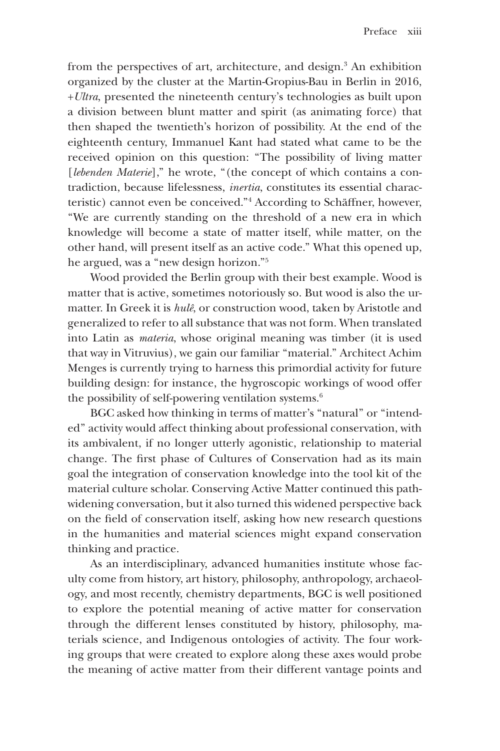from the perspectives of art, architecture, and design.<sup>3</sup> An exhibition organized by the cluster at the Martin-Gropius-Bau in Berlin in 2016, +*Ultra*, presented the nineteenth century's technologies as built upon a division between blunt matter and spirit (as animating force) that then shaped the twentieth's horizon of possibility. At the end of the eighteenth century, Immanuel Kant had stated what came to be the received opinion on this question: "The possibility of living matter [*lebenden Materie*]," he wrote, "(the concept of which contains a contradiction, because lifelessness, *inertia*, constitutes its essential characteristic) cannot even be conceived."4 According to Schäffner, however, "We are currently standing on the threshold of a new era in which knowledge will become a state of matter itself, while matter, on the other hand, will present itself as an active code." What this opened up, he argued, was a "new design horizon."5

Wood provided the Berlin group with their best example. Wood is matter that is active, sometimes notoriously so. But wood is also the urmatter. In Greek it is *hulê*, or construction wood, taken by Aristotle and generalized to refer to all substance that was not form. When translated into Latin as *materia*, whose original meaning was timber (it is used that way in Vitruvius), we gain our familiar "material." Architect Achim Menges is currently trying to harness this primordial activity for future building design: for instance, the hygroscopic workings of wood offer the possibility of self-powering ventilation systems. $6$ 

BGC asked how thinking in terms of matter's "natural" or "intended" activity would affect thinking about professional conservation, with its ambivalent, if no longer utterly agonistic, relationship to material change. The first phase of Cultures of Conservation had as its main goal the integration of conservation knowledge into the tool kit of the material culture scholar. Conserving Active Matter continued this pathwidening conversation, but it also turned this widened perspective back on the field of conservation itself, asking how new research questions in the humanities and material sciences might expand conservation thinking and practice.

As an interdisciplinary, advanced humanities institute whose faculty come from history, art history, philosophy, anthropology, archaeology, and most recently, chemistry departments, BGC is well positioned to explore the potential meaning of active matter for conservation through the different lenses constituted by history, philosophy, materials science, and Indigenous ontologies of activity. The four working groups that were created to explore along these axes would probe the meaning of active matter from their different vantage points and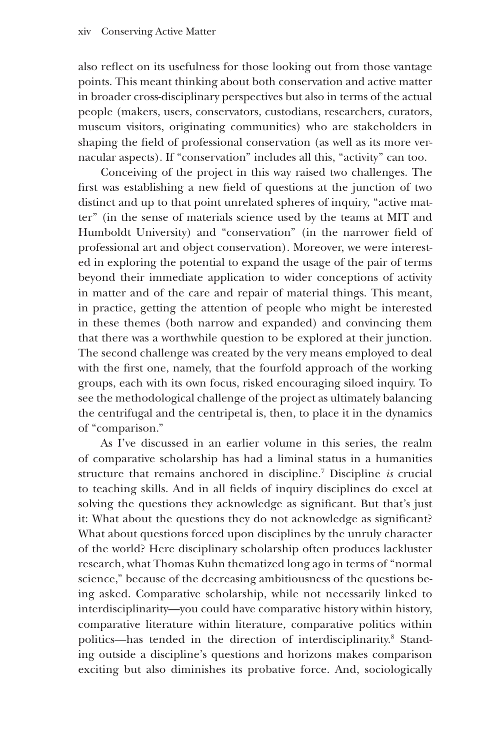also reflect on its usefulness for those looking out from those vantage points. This meant thinking about both conservation and active matter in broader cross-disciplinary perspectives but also in terms of the actual people (makers, users, conservators, custodians, researchers, curators, museum visitors, originating communities) who are stakeholders in shaping the field of professional conservation (as well as its more vernacular aspects). If "conservation" includes all this, "activity" can too.

Conceiving of the project in this way raised two challenges. The first was establishing a new field of questions at the junction of two distinct and up to that point unrelated spheres of inquiry, "active matter" (in the sense of materials science used by the teams at MIT and Humboldt University) and "conservation" (in the narrower field of professional art and object conservation). Moreover, we were interested in exploring the potential to expand the usage of the pair of terms beyond their immediate application to wider conceptions of activity in matter and of the care and repair of material things. This meant, in practice, getting the attention of people who might be interested in these themes (both narrow and expanded) and convincing them that there was a worthwhile question to be explored at their junction. The second challenge was created by the very means employed to deal with the first one, namely, that the fourfold approach of the working groups, each with its own focus, risked encouraging siloed inquiry. To see the methodological challenge of the project as ultimately balancing the centrifugal and the centripetal is, then, to place it in the dynamics of "comparison."

As I've discussed in an earlier volume in this series, the realm of comparative scholarship has had a liminal status in a humanities structure that remains anchored in discipline.7 Discipline *is* crucial to teaching skills. And in all fields of inquiry disciplines do excel at solving the questions they acknowledge as significant. But that's just it: What about the questions they do not acknowledge as significant? What about questions forced upon disciplines by the unruly character of the world? Here disciplinary scholarship often produces lackluster research, what Thomas Kuhn thematized long ago in terms of "normal science," because of the decreasing ambitiousness of the questions being asked. Comparative scholarship, while not necessarily linked to interdisciplinarity—you could have comparative history within history, comparative literature within literature, comparative politics within politics—has tended in the direction of interdisciplinarity.<sup>8</sup> Standing outside a discipline's questions and horizons makes comparison exciting but also diminishes its probative force. And, sociologically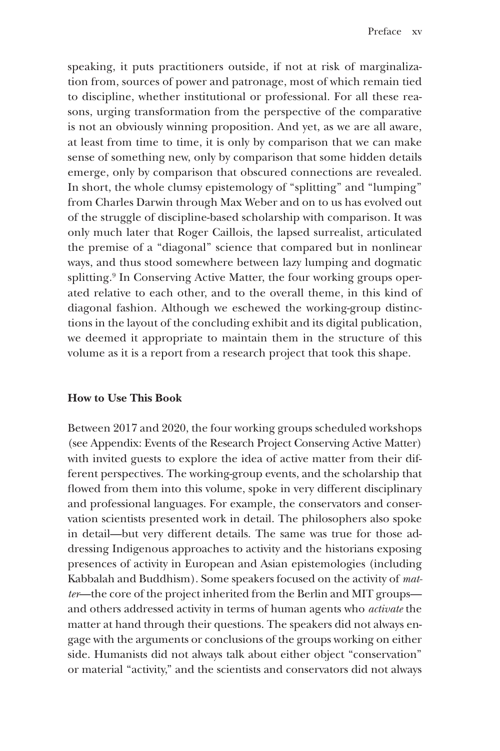speaking, it puts practitioners outside, if not at risk of marginalization from, sources of power and patronage, most of which remain tied to discipline, whether institutional or professional. For all these reasons, urging transformation from the perspective of the comparative is not an obviously winning proposition. And yet, as we are all aware, at least from time to time, it is only by comparison that we can make sense of something new, only by comparison that some hidden details emerge, only by comparison that obscured connections are revealed. In short, the whole clumsy epistemology of "splitting" and "lumping" from Charles Darwin through Max Weber and on to us has evolved out of the struggle of discipline-based scholarship with comparison. It was only much later that Roger Caillois, the lapsed surrealist, articulated the premise of a "diagonal" science that compared but in nonlinear ways, and thus stood somewhere between lazy lumping and dogmatic splitting.<sup>9</sup> In Conserving Active Matter, the four working groups operated relative to each other, and to the overall theme, in this kind of diagonal fashion. Although we eschewed the working-group distinctions in the layout of the concluding exhibit and its digital publication, we deemed it appropriate to maintain them in the structure of this volume as it is a report from a research project that took this shape.

## **How to Use This Book**

Between 2017 and 2020, the four working groups scheduled workshops (see Appendix: Events of the Research Project Conserving Active Matter) with invited guests to explore the idea of active matter from their different perspectives. The working-group events, and the scholarship that flowed from them into this volume, spoke in very different disciplinary and professional languages. For example, the conservators and conservation scientists presented work in detail. The philosophers also spoke in detail—but very different details. The same was true for those addressing Indigenous approaches to activity and the historians exposing presences of activity in European and Asian epistemologies (including Kabbalah and Buddhism). Some speakers focused on the activity of *matter*—the core of the project inherited from the Berlin and MIT groups and others addressed activity in terms of human agents who *activate* the matter at hand through their questions. The speakers did not always engage with the arguments or conclusions of the groups working on either side. Humanists did not always talk about either object "conservation" or material "activity," and the scientists and conservators did not always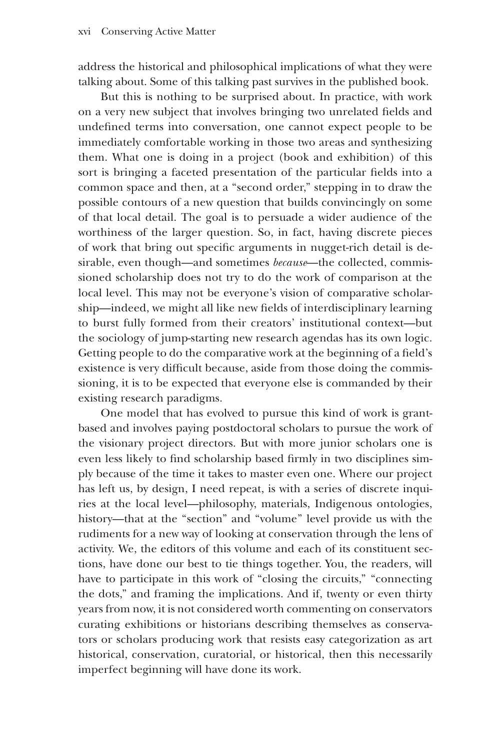address the historical and philosophical implications of what they were talking about. Some of this talking past survives in the published book.

But this is nothing to be surprised about. In practice, with work on a very new subject that involves bringing two unrelated fields and undefined terms into conversation, one cannot expect people to be immediately comfortable working in those two areas and synthesizing them. What one is doing in a project (book and exhibition) of this sort is bringing a faceted presentation of the particular fields into a common space and then, at a "second order," stepping in to draw the possible contours of a new question that builds convincingly on some of that local detail. The goal is to persuade a wider audience of the worthiness of the larger question. So, in fact, having discrete pieces of work that bring out specific arguments in nugget-rich detail is desirable, even though—and sometimes *because*—the collected, commissioned scholarship does not try to do the work of comparison at the local level. This may not be everyone's vision of comparative scholarship—indeed, we might all like new fields of interdisciplinary learning to burst fully formed from their creators' institutional context—but the sociology of jump-starting new research agendas has its own logic. Getting people to do the comparative work at the beginning of a field's existence is very difficult because, aside from those doing the commissioning, it is to be expected that everyone else is commanded by their existing research paradigms.

One model that has evolved to pursue this kind of work is grantbased and involves paying postdoctoral scholars to pursue the work of the visionary project directors. But with more junior scholars one is even less likely to find scholarship based firmly in two disciplines simply because of the time it takes to master even one. Where our project has left us, by design, I need repeat, is with a series of discrete inquiries at the local level—philosophy, materials, Indigenous ontologies, history—that at the "section" and "volume" level provide us with the rudiments for a new way of looking at conservation through the lens of activity. We, the editors of this volume and each of its constituent sections, have done our best to tie things together. You, the readers, will have to participate in this work of "closing the circuits," "connecting the dots," and framing the implications. And if, twenty or even thirty years from now, it is not considered worth commenting on conservators curating exhibitions or historians describing themselves as conservators or scholars producing work that resists easy categorization as art historical, conservation, curatorial, or historical, then this necessarily imperfect beginning will have done its work.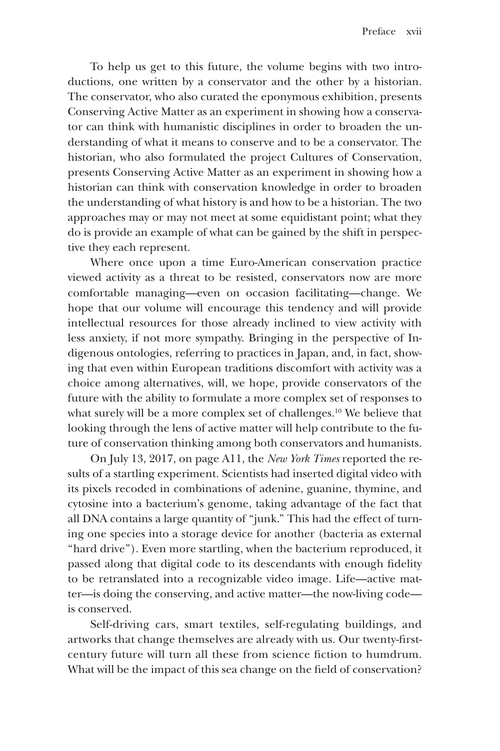To help us get to this future, the volume begins with two introductions, one written by a conservator and the other by a historian. The conservator, who also curated the eponymous exhibition, presents Conserving Active Matter as an experiment in showing how a conservator can think with humanistic disciplines in order to broaden the understanding of what it means to conserve and to be a conservator. The historian, who also formulated the project Cultures of Conservation, presents Conserving Active Matter as an experiment in showing how a historian can think with conservation knowledge in order to broaden the understanding of what history is and how to be a historian. The two approaches may or may not meet at some equidistant point; what they do is provide an example of what can be gained by the shift in perspective they each represent.

Where once upon a time Euro-American conservation practice viewed activity as a threat to be resisted, conservators now are more comfortable managing—even on occasion facilitating—change. We hope that our volume will encourage this tendency and will provide intellectual resources for those already inclined to view activity with less anxiety, if not more sympathy. Bringing in the perspective of Indigenous ontologies, referring to practices in Japan, and, in fact, showing that even within European traditions discomfort with activity was a choice among alternatives, will, we hope, provide conservators of the future with the ability to formulate a more complex set of responses to what surely will be a more complex set of challenges.<sup>10</sup> We believe that looking through the lens of active matter will help contribute to the future of conservation thinking among both conservators and humanists.

On July 13, 2017, on page A11, the *New York Times* reported the results of a startling experiment. Scientists had inserted digital video with its pixels recoded in combinations of adenine, guanine, thymine, and cytosine into a bacterium's genome, taking advantage of the fact that all DNA contains a large quantity of "junk." This had the effect of turning one species into a storage device for another (bacteria as external "hard drive"). Even more startling, when the bacterium reproduced, it passed along that digital code to its descendants with enough fidelity to be retranslated into a recognizable video image. Life—active matter—is doing the conserving, and active matter—the now-living code is conserved.

Self-driving cars, smart textiles, self-regulating buildings, and artworks that change themselves are already with us. Our twenty-firstcentury future will turn all these from science fiction to humdrum. What will be the impact of this sea change on the field of conservation?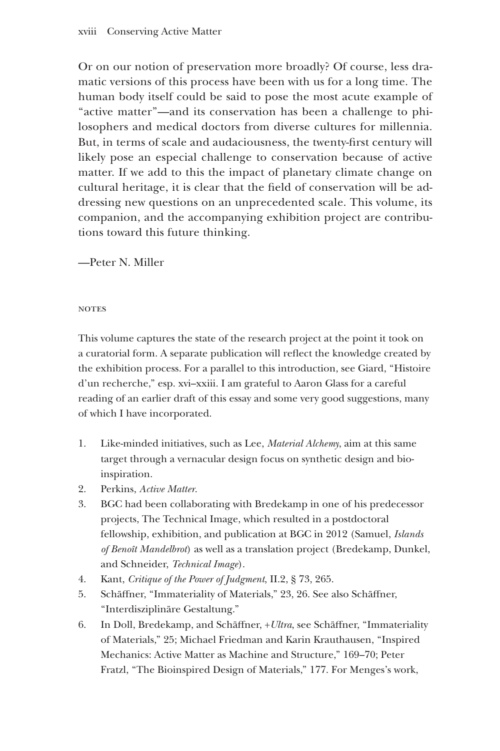Or on our notion of preservation more broadly? Of course, less dramatic versions of this process have been with us for a long time. The human body itself could be said to pose the most acute example of "active matter"—and its conservation has been a challenge to philosophers and medical doctors from diverse cultures for millennia. But, in terms of scale and audaciousness, the twenty-first century will likely pose an especial challenge to conservation because of active matter. If we add to this the impact of planetary climate change on cultural heritage, it is clear that the field of conservation will be addressing new questions on an unprecedented scale. This volume, its companion, and the accompanying exhibition project are contributions toward this future thinking.

—Peter N. Miller

#### **NOTES**

This volume captures the state of the research project at the point it took on a curatorial form. A separate publication will reflect the knowledge created by the exhibition process. For a parallel to this introduction, see Giard, "Histoire d'un recherche," esp. xvi–xxiii. I am grateful to Aaron Glass for a careful reading of an earlier draft of this essay and some very good suggestions, many of which I have incorporated.

- 1. Like-minded initiatives, such as Lee, *Material Alchemy*, aim at this same target through a vernacular design focus on synthetic design and bioinspiration.
- 2. Perkins, *Active Matter*.
- 3. BGC had been collaborating with Bredekamp in one of his predecessor projects, The Technical Image, which resulted in a postdoctoral fellowship, exhibition, and publication at BGC in 2012 (Samuel, *Islands of Benoît Mandelbrot*) as well as a translation project (Bredekamp, Dunkel, and Schneider, *Technical Image*).
- 4. Kant, *Critique of the Power of Judgment*, II.2, § 73, 265.
- 5. Schäffner, "Immateriality of Materials," 23, 26. See also Schäffner, "Interdisziplinäre Gestaltung."
- 6. In Doll, Bredekamp, and Schäffner, +*Ultra*, see Schäffner, "Immateriality of Materials," 25; Michael Friedman and Karin Krauthausen, "Inspired Mechanics: Active Matter as Machine and Structure," 169–70; Peter Fratzl, "The Bioinspired Design of Materials," 177. For Menges's work,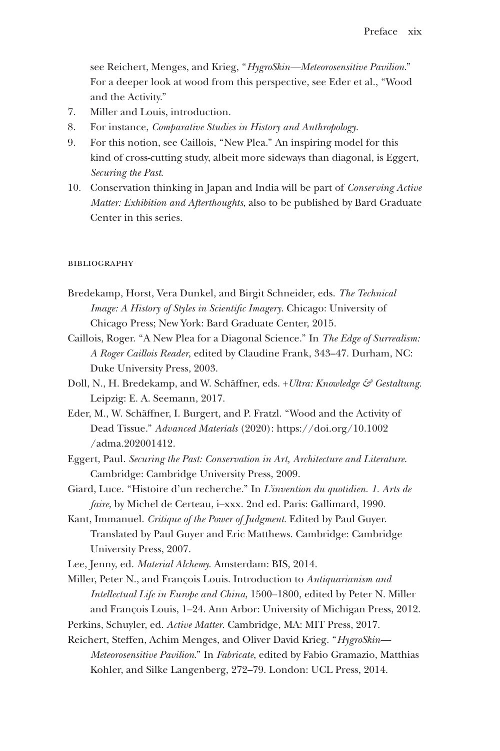see Reichert, Menges, and Krieg, "*HygroSkin—Meteorosensitive Pavilion*." For a deeper look at wood from this perspective, see Eder et al., "Wood and the Activity."

- 7. Miller and Louis, introduction.
- 8. For instance, *Comparative Studies in History and Anthropology*.
- 9. For this notion, see Caillois, "New Plea." An inspiring model for this kind of cross-cutting study, albeit more sideways than diagonal, is Eggert, *Securing the Past*.
- 10. Conservation thinking in Japan and India will be part of *Conserving Active Matter: Exhibition and Afterthoughts*, also to be published by Bard Graduate Center in this series.

#### **BIBLIOGRAPHY**

- Bredekamp, Horst, Vera Dunkel, and Birgit Schneider, eds. *The Technical Image: A History of Styles in Scientific Imagery*. Chicago: University of Chicago Press; New York: Bard Graduate Center, 2015.
- Caillois, Roger. "A New Plea for a Diagonal Science." In *The Edge of Surrealism: A Roger Caillois Reader*, edited by Claudine Frank, 343–47. Durham, NC: Duke University Press, 2003.
- Doll, N., H. Bredekamp, and W. Schäffner, eds. +*Ultra: Knowledge & Gestaltung*. Leipzig: E. A. Seemann, 2017.
- Eder, M., W. Schäffner, I. Burgert, and P. Fratzl. "Wood and the Activity of Dead Tissue." *Advanced Materials* (2020): https://doi.org/10.1002 /adma.202001412.
- Eggert, Paul. *Securing the Past: Conservation in Art, Architecture and Literature*. Cambridge: Cambridge University Press, 2009.
- Giard, Luce. "Histoire d'un recherche." In *L'invention du quotidien. 1. Arts de faire*, by Michel de Certeau, i–xxx. 2nd ed. Paris: Gallimard, 1990.
- Kant, Immanuel. *Critique of the Power of Judgment*. Edited by Paul Guyer. Translated by Paul Guyer and Eric Matthews. Cambridge: Cambridge University Press, 2007.
- Lee, Jenny, ed. *Material Alchemy*. Amsterdam: BIS, 2014.
- Miller, Peter N., and François Louis. Introduction to *Antiquarianism and Intellectual Life in Europe and China*, 1500–1800, edited by Peter N. Miller and François Louis, 1–24. Ann Arbor: University of Michigan Press, 2012.
- Perkins, Schuyler, ed. *Active Matter*. Cambridge, MA: MIT Press, 2017.
- Reichert, Steffen, Achim Menges, and Oliver David Krieg. "*HygroSkin— Meteorosensitive Pavilion*." In *Fabricate*, edited by Fabio Gramazio, Matthias Kohler, and Silke Langenberg, 272–79. London: UCL Press, 2014.